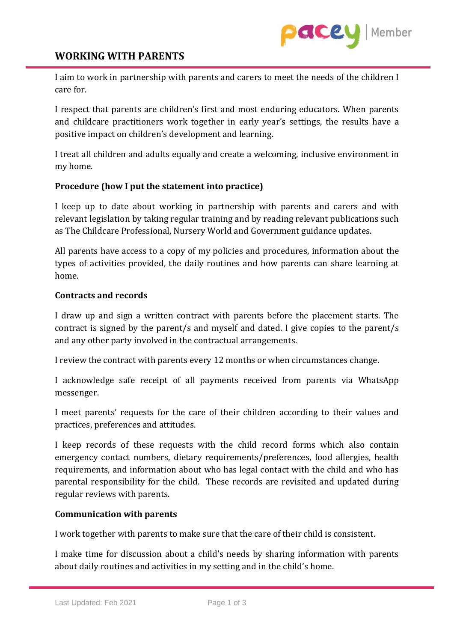

## **WORKING WITH PARENTS**

I aim to work in partnership with parents and carers to meet the needs of the children I care for.

I respect that parents are children's first and most enduring educators. When parents and childcare practitioners work together in early year's settings, the results have a positive impact on children's development and learning.

I treat all children and adults equally and create a welcoming, inclusive environment in my home.

## **Procedure (how I put the statement into practice)**

I keep up to date about working in partnership with parents and carers and with relevant legislation by taking regular training and by reading relevant publications such as The Childcare Professional, Nursery World and Government guidance updates.

All parents have access to a copy of my policies and procedures, information about the types of activities provided, the daily routines and how parents can share learning at home.

#### **Contracts and records**

I draw up and sign a written contract with parents before the placement starts. The contract is signed by the parent/s and myself and dated. I give copies to the parent/s and any other party involved in the contractual arrangements.

I review the contract with parents every 12 months or when circumstances change.

I acknowledge safe receipt of all payments received from parents via WhatsApp messenger.

I meet parents' requests for the care of their children according to their values and practices, preferences and attitudes.

I keep records of these requests with the child record forms which also contain emergency contact numbers, dietary requirements/preferences, food allergies, health requirements, and information about who has legal contact with the child and who has parental responsibility for the child. These records are revisited and updated during regular reviews with parents.

## **Communication with parents**

I work together with parents to make sure that the care of their child is consistent.

I make time for discussion about a child's needs by sharing information with parents about daily routines and activities in my setting and in the child's home.

Last Updated: Feb 2021 Page 1 of 3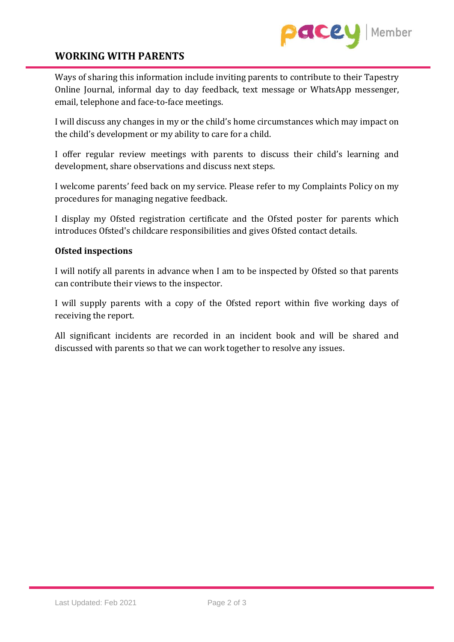

# **WORKING WITH PARENTS**

Ways of sharing this information include inviting parents to contribute to their Tapestry Online Journal, informal day to day feedback, text message or WhatsApp messenger, email, telephone and face-to-face meetings.

I will discuss any changes in my or the child's home circumstances which may impact on the child's development or my ability to care for a child.

I offer regular review meetings with parents to discuss their child's learning and development, share observations and discuss next steps.

I welcome parents' feed back on my service. Please refer to my Complaints Policy on my procedures for managing negative feedback.

I display my Ofsted registration certificate and the Ofsted poster for parents which introduces Ofsted's childcare responsibilities and gives Ofsted contact details.

## **Ofsted inspections**

I will notify all parents in advance when I am to be inspected by Ofsted so that parents can contribute their views to the inspector.

I will supply parents with a copy of the Ofsted report within five working days of receiving the report.

All significant incidents are recorded in an incident book and will be shared and discussed with parents so that we can work together to resolve any issues.